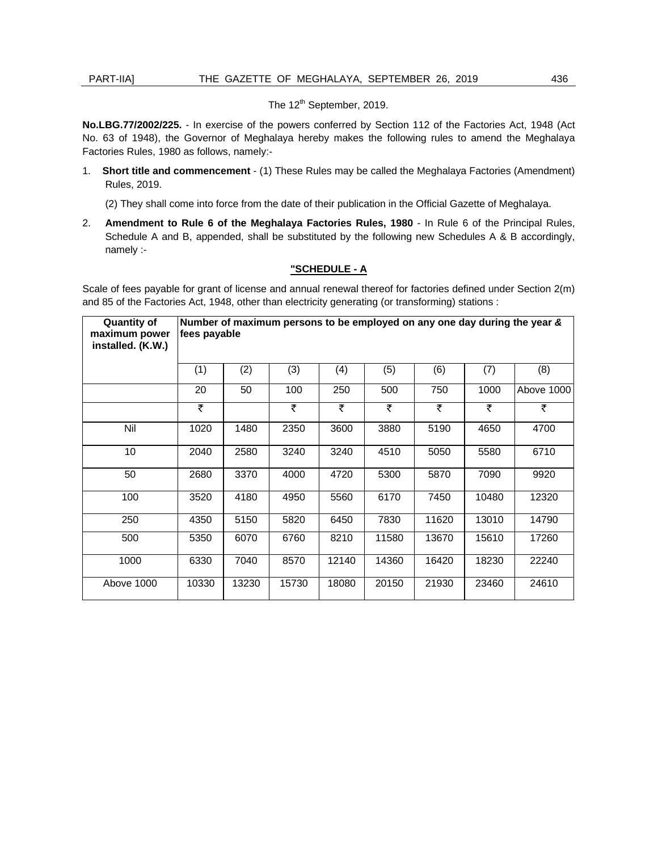## PART-IIA]

## The 12<sup>th</sup> September, 2019.

 **No.LBG.77/2002/225.** - In exercise of the powers conferred by Section 112 of the Factories Act, 1948 (Act No. 63 of 1948), the Governor of Meghalaya hereby makes the following rules to amend the Meghalaya Factories Rules, 1980 as follows, namely:-

1. **Short title and commencement** - (1) These Rules may be called the Meghalaya Factories (Amendment) Rules, 2019.

(2) They shall come into force from the date of their publication in the Official Gazette of Meghalaya.

 Schedule A and B, appended, shall be substituted by the following new Schedules A & B accordingly, 2. **Amendment to Rule 6 of the Meghalaya Factories Rules, 1980** - In Rule 6 of the Principal Rules, namely :-

## **"SCHEDULE - A**

 and 85 of the Factories Act, 1948, other than electricity generating (or transforming) stations : Scale of fees payable for grant of license and annual renewal thereof for factories defined under Section 2(m)

| <b>Quantity of</b><br>maximum power<br>installed. (K.W.) | Number of maximum persons to be employed on any one day during the year &<br>fees payable |       |       |       |       |       |       |            |
|----------------------------------------------------------|-------------------------------------------------------------------------------------------|-------|-------|-------|-------|-------|-------|------------|
|                                                          | (1)                                                                                       | (2)   | (3)   | (4)   | (5)   | (6)   | (7)   | (8)        |
|                                                          | 20                                                                                        | 50    | 100   | 250   | 500   | 750   | 1000  | Above 1000 |
|                                                          | ₹                                                                                         |       | ₹     | ₹     | ₹     | ₹     | ₹     | ₹          |
| Nil                                                      | 1020                                                                                      | 1480  | 2350  | 3600  | 3880  | 5190  | 4650  | 4700       |
| 10                                                       | 2040                                                                                      | 2580  | 3240  | 3240  | 4510  | 5050  | 5580  | 6710       |
| 50                                                       | 2680                                                                                      | 3370  | 4000  | 4720  | 5300  | 5870  | 7090  | 9920       |
| 100                                                      | 3520                                                                                      | 4180  | 4950  | 5560  | 6170  | 7450  | 10480 | 12320      |
| 250                                                      | 4350                                                                                      | 5150  | 5820  | 6450  | 7830  | 11620 | 13010 | 14790      |
| 500                                                      | 5350                                                                                      | 6070  | 6760  | 8210  | 11580 | 13670 | 15610 | 17260      |
| 1000                                                     | 6330                                                                                      | 7040  | 8570  | 12140 | 14360 | 16420 | 18230 | 22240      |
| Above 1000                                               | 10330                                                                                     | 13230 | 15730 | 18080 | 20150 | 21930 | 23460 | 24610      |